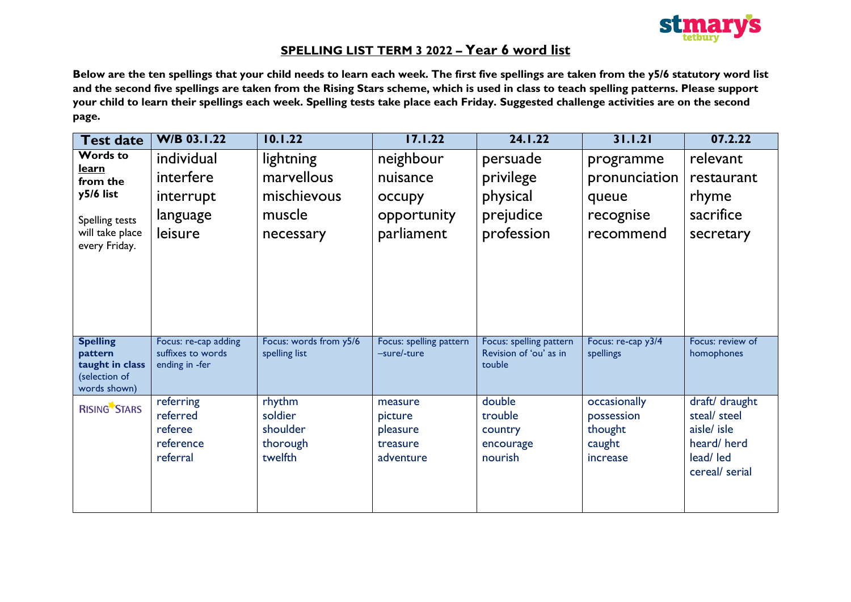

# **SPELLING LIST TERM 3 2022 – Year 6 word list**

**Below are the ten spellings that your child needs to learn each week. The first five spellings are taken from the y5/6 statutory word list and the second five spellings are taken from the Rising Stars scheme, which is used in class to teach spelling patterns. Please support your child to learn their spellings each week. Spelling tests take place each Friday. Suggested challenge activities are on the second page.**

| <b>Test date</b>                                                                                        | <b>W/B 03.1.22</b>                                          | 10.1.22                                                       | 17.1.22                                                      | 24.1.22                                                      | 31.1.21                                                       | 07.2.22                                                                                    |
|---------------------------------------------------------------------------------------------------------|-------------------------------------------------------------|---------------------------------------------------------------|--------------------------------------------------------------|--------------------------------------------------------------|---------------------------------------------------------------|--------------------------------------------------------------------------------------------|
| <b>Words to</b><br>learn<br>from the<br>y5/6 list<br>Spelling tests<br>will take place<br>every Friday. | individual<br>interfere<br>interrupt<br>language<br>leisure | lightning<br>marvellous<br>mischievous<br>muscle<br>necessary | neighbour<br>nuisance<br>occupy<br>opportunity<br>parliament | persuade<br>privilege<br>physical<br>prejudice<br>profession | programme<br>pronunciation<br>queue<br>recognise<br>recommend | relevant<br>restaurant<br>rhyme<br>sacrifice<br>secretary                                  |
| <b>Spelling</b><br>pattern<br>taught in class<br>(selection of<br>words shown)                          | Focus: re-cap adding<br>suffixes to words<br>ending in -fer | Focus: words from y5/6<br>spelling list                       | Focus: spelling pattern<br>-sure/-ture                       | Focus: spelling pattern<br>Revision of 'ou' as in<br>touble  | Focus: re-cap y3/4<br>spellings                               | Focus: review of<br>homophones                                                             |
| <b>RISING STARS</b>                                                                                     | referring<br>referred<br>referee<br>reference<br>referral   | rhythm<br>soldier<br>shoulder<br>thorough<br>twelfth          | measure<br>picture<br>pleasure<br>treasure<br>adventure      | double<br>trouble<br>country<br>encourage<br>nourish         | occasionally<br>possession<br>thought<br>caught<br>increase   | draft/ draught<br>steal/ steel<br>aisle/ isle<br>heard/herd<br>lead/ led<br>cereal/ serial |